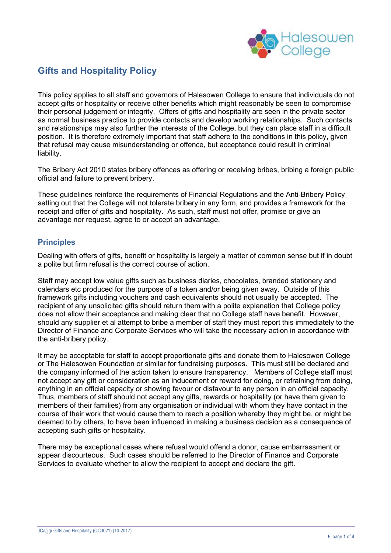

# **Gifts and Hospitality Policy**

This policy applies to all staff and governors of Halesowen College to ensure that individuals do not accept gifts or hospitality or receive other benefits which might reasonably be seen to compromise their personal judgement or integrity. Offers of gifts and hospitality are seen in the private sector as normal business practice to provide contacts and develop working relationships. Such contacts and relationships may also further the interests of the College, but they can place staff in a difficult position. It is therefore extremely important that staff adhere to the conditions in this policy, given that refusal may cause misunderstanding or offence, but acceptance could result in criminal liability.

The Bribery Act 2010 states bribery offences as offering or receiving bribes, bribing a foreign public official and failure to prevent bribery.

These guidelines reinforce the requirements of Financial Regulations and the Anti-Bribery Policy setting out that the College will not tolerate bribery in any form, and provides a framework for the receipt and offer of gifts and hospitality. As such, staff must not offer, promise or give an advantage nor request, agree to or accept an advantage.

#### **Principles**

Dealing with offers of gifts, benefit or hospitality is largely a matter of common sense but if in doubt a polite but firm refusal is the correct course of action.

Staff may accept low value gifts such as business diaries, chocolates, branded stationery and calendars etc produced for the purpose of a token and/or being given away. Outside of this framework gifts including vouchers and cash equivalents should not usually be accepted. The recipient of any unsolicited gifts should return them with a polite explanation that College policy does not allow their acceptance and making clear that no College staff have benefit. However, should any supplier et al attempt to bribe a member of staff they must report this immediately to the Director of Finance and Corporate Services who will take the necessary action in accordance with the anti-bribery policy.

It may be acceptable for staff to accept proportionate gifts and donate them to Halesowen College or The Halesowen Foundation or similar for fundraising purposes. This must still be declared and the company informed of the action taken to ensure transparency. Members of College staff must not accept any gift or consideration as an inducement or reward for doing, or refraining from doing, anything in an official capacity or showing favour or disfavour to any person in an official capacity. Thus, members of staff should not accept any gifts, rewards or hospitality (or have them given to members of their families) from any organisation or individual with whom they have contact in the course of their work that would cause them to reach a position whereby they might be, or might be deemed to by others, to have been influenced in making a business decision as a consequence of accepting such gifts or hospitality.

There may be exceptional cases where refusal would offend a donor, cause embarrassment or appear discourteous. Such cases should be referred to the Director of Finance and Corporate Services to evaluate whether to allow the recipient to accept and declare the gift.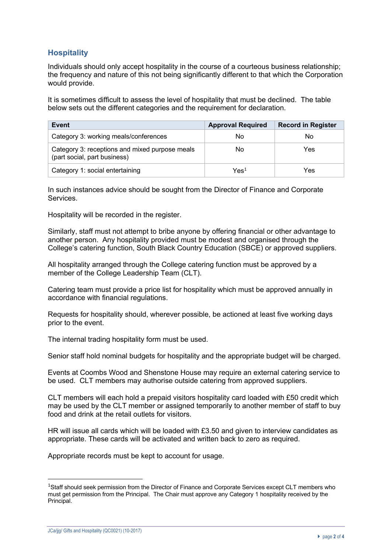## **Hospitality**

Individuals should only accept hospitality in the course of a courteous business relationship; the frequency and nature of this not being significantly different to that which the Corporation would provide.

It is sometimes difficult to assess the level of hospitality that must be declined. The table below sets out the different categories and the requirement for declaration.

| Event                                                                          | <b>Approval Required</b> | <b>Record in Register</b> |
|--------------------------------------------------------------------------------|--------------------------|---------------------------|
| Category 3: working meals/conferences                                          | No                       | No                        |
| Category 3: receptions and mixed purpose meals<br>(part social, part business) | No                       | Yes                       |
| Category 1: social entertaining                                                | $\mathsf{Yes}^1$         | Yes                       |

In such instances advice should be sought from the Director of Finance and Corporate Services.

Hospitality will be recorded in the register.

Similarly, staff must not attempt to bribe anyone by offering financial or other advantage to another person. Any hospitality provided must be modest and organised through the College's catering function, South Black Country Education (SBCE) or approved suppliers.

All hospitality arranged through the College catering function must be approved by a member of the College Leadership Team (CLT).

Catering team must provide a price list for hospitality which must be approved annually in accordance with financial regulations.

Requests for hospitality should, wherever possible, be actioned at least five working days prior to the event.

The internal trading hospitality form must be used.

Senior staff hold nominal budgets for hospitality and the appropriate budget will be charged.

Events at Coombs Wood and Shenstone House may require an external catering service to be used. CLT members may authorise outside catering from approved suppliers.

CLT members will each hold a prepaid visitors hospitality card loaded with £50 credit which may be used by the CLT member or assigned temporarily to another member of staff to buy food and drink at the retail outlets for visitors.

HR will issue all cards which will be loaded with £3.50 and given to interview candidates as appropriate. These cards will be activated and written back to zero as required.

Appropriate records must be kept to account for usage.

<sup>&</sup>lt;sup>1</sup>Staff should seek permission from the Director of Finance and Corporate Services except CLT members who must get permission from the Principal. The Chair must approve any Category 1 hospitality received by the Principal.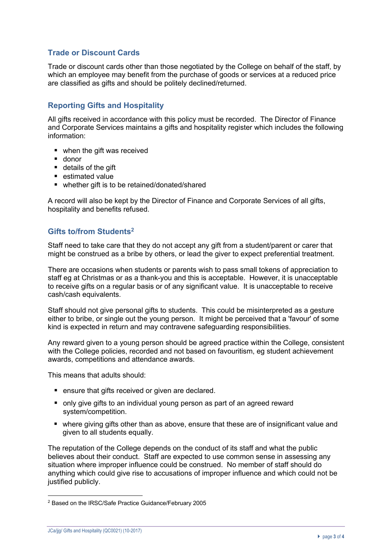### **Trade or Discount Cards**

Trade or discount cards other than those negotiated by the College on behalf of the staff, by which an employee may benefit from the purchase of goods or services at a reduced price are classified as gifts and should be politely declined/returned.

### **Reporting Gifts and Hospitality**

All gifts received in accordance with this policy must be recorded. The Director of Finance and Corporate Services maintains a gifts and hospitality register which includes the following information:

- when the gift was received
- donor
- details of the gift
- estimated value
- whether gift is to be retained/donated/shared

A record will also be kept by the Director of Finance and Corporate Services of all gifts, hospitality and benefits refused.

### **Gifts to/from Students2**

Staff need to take care that they do not accept any gift from a student/parent or carer that might be construed as a bribe by others, or lead the giver to expect preferential treatment.

There are occasions when students or parents wish to pass small tokens of appreciation to staff eg at Christmas or as a thank-you and this is acceptable. However, it is unacceptable to receive gifts on a regular basis or of any significant value. It is unacceptable to receive cash/cash equivalents.

Staff should not give personal gifts to students. This could be misinterpreted as a gesture either to bribe, or single out the young person. It might be perceived that a 'favour' of some kind is expected in return and may contravene safeguarding responsibilities.

Any reward given to a young person should be agreed practice within the College, consistent with the College policies, recorded and not based on favouritism, eg student achievement awards, competitions and attendance awards.

This means that adults should:

- ensure that gifts received or given are declared.
- only give gifts to an individual young person as part of an agreed reward system/competition.
- where giving gifts other than as above, ensure that these are of insignificant value and given to all students equally.

The reputation of the College depends on the conduct of its staff and what the public believes about their conduct. Staff are expected to use common sense in assessing any situation where improper influence could be construed. No member of staff should do anything which could give rise to accusations of improper influence and which could not be justified publicly.

<sup>2</sup> Based on the IRSC/Safe Practice Guidance/February 2005